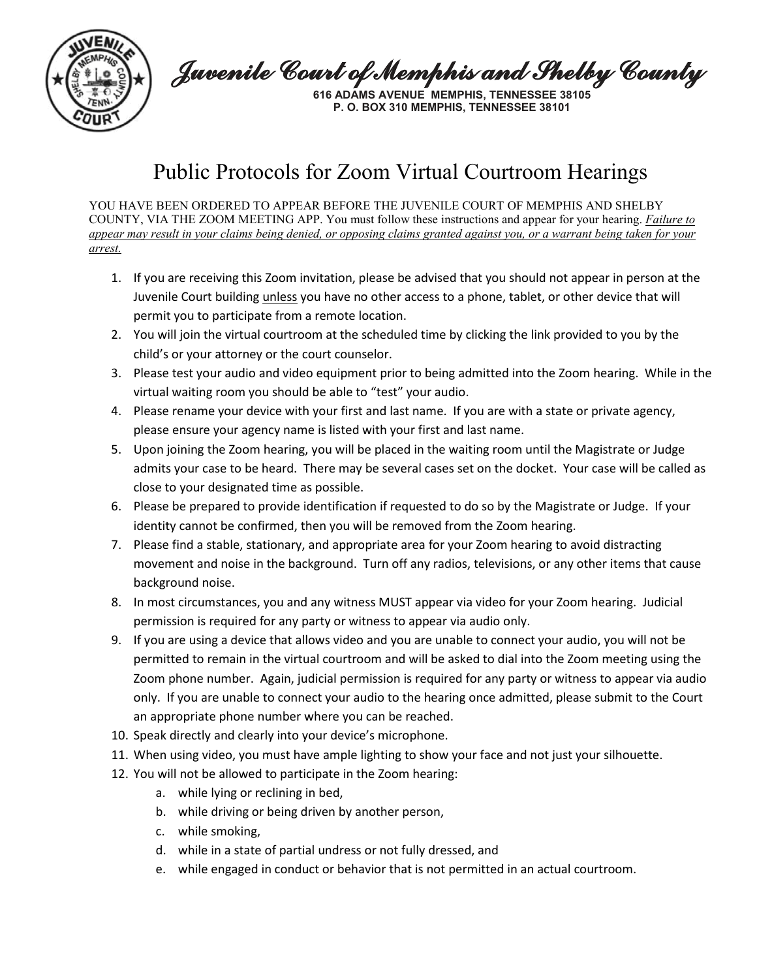

Juvenile Court of Memphis and Shelby County

**616 ADAMS AVENUE MEMPHIS, TENNESSEE 38105 P. O. BOX 310 MEMPHIS, TENNESSEE 38101**

## Public Protocols for Zoom Virtual Courtroom Hearings

YOU HAVE BEEN ORDERED TO APPEAR BEFORE THE JUVENILE COURT OF MEMPHIS AND SHELBY COUNTY, VIA THE ZOOM MEETING APP. You must follow these instructions and appear for your hearing. *Failure to appear may result in your claims being denied, or opposing claims granted against you, or a warrant being taken for your arrest.*

- 1. If you are receiving this Zoom invitation, please be advised that you should not appear in person at the Juvenile Court building *unless* you have no other access to a phone, tablet, or other device that will permit you to participate from a remote location.
- 2. You will join the virtual courtroom at the scheduled time by clicking the link provided to you by the child's or your attorney or the court counselor.
- 3. Please test your audio and video equipment prior to being admitted into the Zoom hearing. While in the virtual waiting room you should be able to "test" your audio.
- 4. Please rename your device with your first and last name. If you are with a state or private agency, please ensure your agency name is listed with your first and last name.
- 5. Upon joining the Zoom hearing, you will be placed in the waiting room until the Magistrate or Judge admits your case to be heard. There may be several cases set on the docket. Your case will be called as close to your designated time as possible.
- 6. Please be prepared to provide identification if requested to do so by the Magistrate or Judge. If your identity cannot be confirmed, then you will be removed from the Zoom hearing.
- 7. Please find a stable, stationary, and appropriate area for your Zoom hearing to avoid distracting movement and noise in the background. Turn off any radios, televisions, or any other items that cause background noise.
- 8. In most circumstances, you and any witness MUST appear via video for your Zoom hearing. Judicial permission is required for any party or witness to appear via audio only.
- 9. If you are using a device that allows video and you are unable to connect your audio, you will not be permitted to remain in the virtual courtroom and will be asked to dial into the Zoom meeting using the Zoom phone number. Again, judicial permission is required for any party or witness to appear via audio only. If you are unable to connect your audio to the hearing once admitted, please submit to the Court an appropriate phone number where you can be reached.
- 10. Speak directly and clearly into your device's microphone.
- 11. When using video, you must have ample lighting to show your face and not just your silhouette.
- 12. You will not be allowed to participate in the Zoom hearing:
	- a. while lying or reclining in bed,
	- b. while driving or being driven by another person,
	- c. while smoking,
	- d. while in a state of partial undress or not fully dressed, and
	- e. while engaged in conduct or behavior that is not permitted in an actual courtroom.